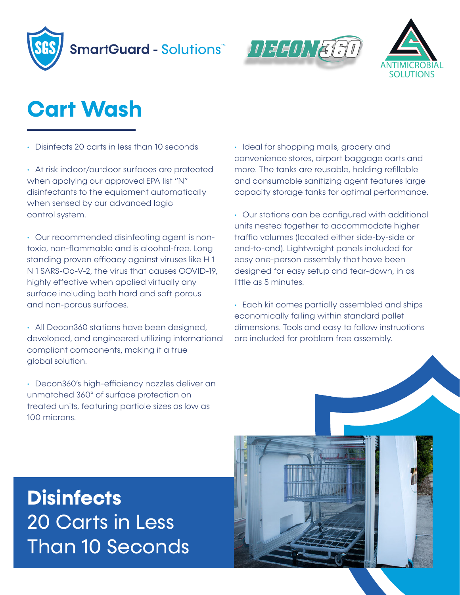





## **Cart Wash**

• Disinfects 20 carts in less than 10 seconds

• At risk indoor/outdoor surfaces are protected when applying our approved EPA list "N" disinfectants to the equipment automatically when sensed by our advanced logic control system.

• Our recommended disinfecting agent is nontoxic, non-flammable and is alcohol-free. Long standing proven efficacy against viruses like H 1 N 1 SARS-Co-V-2, the virus that causes COVID-19, highly effective when applied virtually any surface including both hard and soft porous and non-porous surfaces.

• All Decon360 stations have been designed, developed, and engineered utilizing international compliant components, making it a true global solution.

• Decon360's high-efficiency nozzles deliver an unmatched 360° of surface protection on treated units, featuring particle sizes as low as 100 microns.

• Ideal for shopping malls, grocery and convenience stores, airport baggage carts and more. The tanks are reusable, holding refillable and consumable sanitizing agent features large capacity storage tanks for optimal performance.

• Our stations can be configured with additional units nested together to accommodate higher traffic volumes (located either side-by-side or end-to-end). Lightweight panels included for easy one-person assembly that have been designed for easy setup and tear-down, in as little as 5 minutes.

• Each kit comes partially assembled and ships economically falling within standard pallet dimensions. Tools and easy to follow instructions are included for problem free assembly.

## **Disinfects**  20 Carts in Less Than 10 Seconds